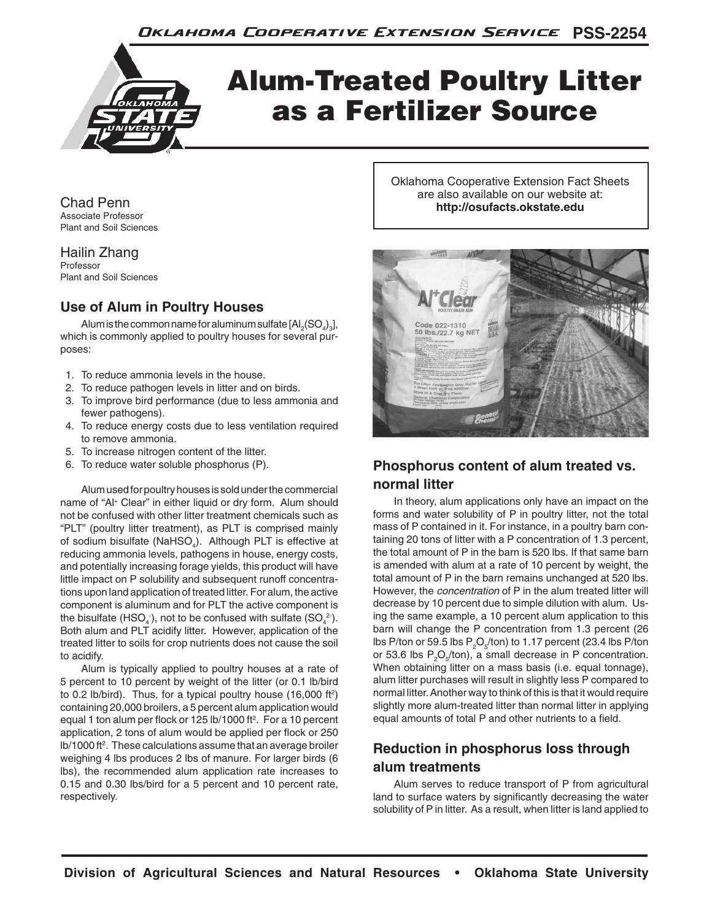

# Alum-Treated Poultry Litter as a Fertilizer Source

Chad Penn Associate Professor Plant and Soil Sciences

Hailin Zhang Professor Plant and Soil Sciences

#### **Use of Alum in Poultry Houses**

Alum is the common name for aluminum sulfate [Al $_2(\mathrm{SO}_4)_3$ ], which is commonly applied to poultry houses for several purposes:

- 1. To reduce ammonia levels in the house.
- 2. To reduce pathogen levels in litter and on birds.
- 3. To improve bird performance (due to less ammonia and fewer pathogens).
- 4. To reduce energy costs due to less ventilation required to remove ammonia.
- 5. To increase nitrogen content of the litter.
- 6. To reduce water soluble phosphorus (P).

Alum used for poultry houses is sold under the commercial name of "Al+ Clear" in either liquid or dry form. Alum should not be confused with other litter treatment chemicals such as "PLT" (poultry litter treatment), as PLT is comprised mainly of sodium bisulfate (NaHSO<sub>4</sub>). Although PLT is effective at reducing ammonia levels, pathogens in house, energy costs, and potentially increasing forage yields, this product will have little impact on P solubility and subsequent runoff concentrations upon land application of treated litter. For alum, the active component is aluminum and for PLT the active component is the bisulfate (HSO<sub>4</sub><sup>-</sup>), not to be confused with sulfate (SO<sub>4</sub><sup>2</sup>). Both alum and PLT acidify litter. However, application of the treated litter to soils for crop nutrients does not cause the soil to acidify.

Alum is typically applied to poultry houses at a rate of 5 percent to 10 percent by weight of the litter (or 0.1 lb/bird to 0.2 lb/bird). Thus, for a typical poultry house  $(16,000 \text{ ft}^2)$ containing 20,000 broilers, a 5 percent alum application would equal 1 ton alum per flock or 125 lb/1000 ft<sup>2</sup>. For a 10 percent application, 2 tons of alum would be applied per flock or 250 lb/1000 ft<sup>2</sup>. These calculations assume that an average broiler weighing 4 lbs produces 2 lbs of manure. For larger birds (6 lbs), the recommended alum application rate increases to 0.15 and 0.30 lbs/bird for a 5 percent and 10 percent rate, respectively.

Oklahoma Cooperative Extension Fact Sheets are also available on our website at: **http://osufacts.okstate.edu**



## **Phosphorus content of alum treated vs. normal litter**

In theory, alum applications only have an impact on the forms and water solubility of P in poultry litter, not the total mass of P contained in it. For instance, in a poultry barn containing 20 tons of litter with a P concentration of 1.3 percent, the total amount of P in the barn is 520 lbs. If that same barn is amended with alum at a rate of 10 percent by weight, the total amount of P in the barn remains unchanged at 520 lbs. However, the *concentration* of P in the alum treated litter will decrease by 10 percent due to simple dilution with alum. Using the same example, a 10 percent alum application to this barn will change the P concentration from 1.3 percent (26 lbs P/ton or 59.5 lbs  $P_2O_5$ /ton) to 1.17 percent (23.4 lbs P/ton or 53.6 lbs  $P_2O_5$ /ton), a small decrease in P concentration. When obtaining litter on a mass basis (i.e. equal tonnage), alum litter purchases will result in slightly less P compared to normal litter. Another way to think of this is that it would require slightly more alum-treated litter than normal litter in applying equal amounts of total P and other nutrients to a field.

### **Reduction in phosphorus loss through alum treatments**

Alum serves to reduce transport of P from agricultural land to surface waters by significantly decreasing the water solubility of P in litter. As a result, when litter is land applied to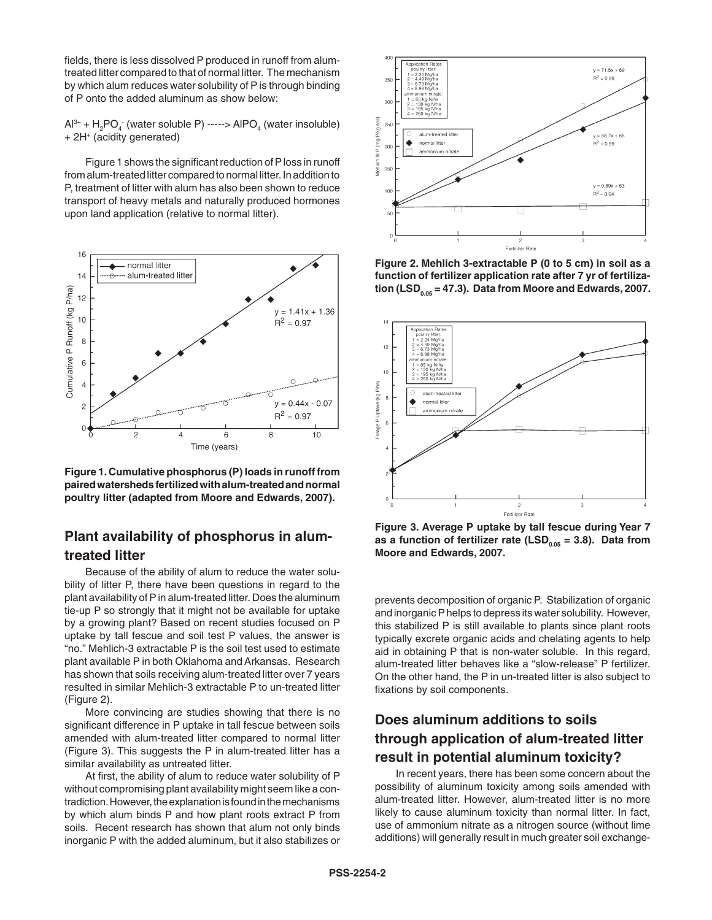fields, there is less dissolved P produced in runoff from alumtreated litter compared to that of normal litter. The mechanism by which alum reduces water solubility of P is through binding of P onto the added aluminum as show below:

 $Al^{3+} + H_2PO_4^-$  (water soluble P) -----> AlPO<sub>4</sub> (water insoluble) + 2H+ (acidity generated)

Figure 1 shows the significant reduction of P loss in runoff from alum-treated litter compared to normal litter. In addition to P, treatment of litter with alum has also been shown to reduce transport of heavy metals and naturally produced hormones upon land application (relative to normal litter).



**Figure 1. Cumulative phosphorus (P) loads in runoff from paired watersheds fertilized with alum-treated and normal poultry litter (adapted from Moore and Edwards, 2007).**

#### **Plant availability of phosphorus in alumtreated litter**

Because of the ability of alum to reduce the water solubility of litter P, there have been questions in regard to the plant availability of P in alum-treated litter. Does the aluminum tie-up P so strongly that it might not be available for uptake by a growing plant? Based on recent studies focused on P uptake by tall fescue and soil test P values, the answer is "no." Mehlich-3 extractable P is the soil test used to estimate plant available P in both Oklahoma and Arkansas. Research has shown that soils receiving alum-treated litter over 7 years resulted in similar Mehlich-3 extractable P to un-treated litter (Figure 2).

More convincing are studies showing that there is no significant difference in P uptake in tall fescue between soils amended with alum-treated litter compared to normal litter (Figure 3). This suggests the P in alum-treated litter has a similar availability as untreated litter.

At first, the ability of alum to reduce water solubility of P without compromising plant availability might seem like a contradiction. However, the explanation is found in the mechanisms by which alum binds P and how plant roots extract P from soils. Recent research has shown that alum not only binds inorganic P with the added aluminum, but it also stabilizes or



**Figure 2. Mehlich 3-extractable P (0 to 5 cm) in soil as a function of fertilizer application rate after 7 yr of fertiliza-** $\frac{1}{100}$  (LSD<sub>0.05</sub> = 47.3). Data from Moore and Edwards, 2007.



**Figure 3. Average P uptake by tall fescue during Year 7**  as a function of fertilizer rate (LSD<sub>005</sub> = 3.8). Data from **Moore and Edwards, 2007.**

prevents decomposition of organic P. Stabilization of organic and inorganic P helps to depress its water solubility. However, this stabilized P is still available to plants since plant roots typically excrete organic acids and chelating agents to help aid in obtaining P that is non-water soluble. In this regard, alum-treated litter behaves like a "slow-release" P fertilizer. On the other hand, the P in un-treated litter is also subject to fixations by soil components.

#### **Does aluminum additions to soils through application of alum-treated litter result in potential aluminum toxicity?**

In recent years, there has been some concern about the possibility of aluminum toxicity among soils amended with alum-treated litter. However, alum-treated litter is no more likely to cause aluminum toxicity than normal litter. In fact, use of ammonium nitrate as a nitrogen source (without lime additions) will generally result in much greater soil exchange-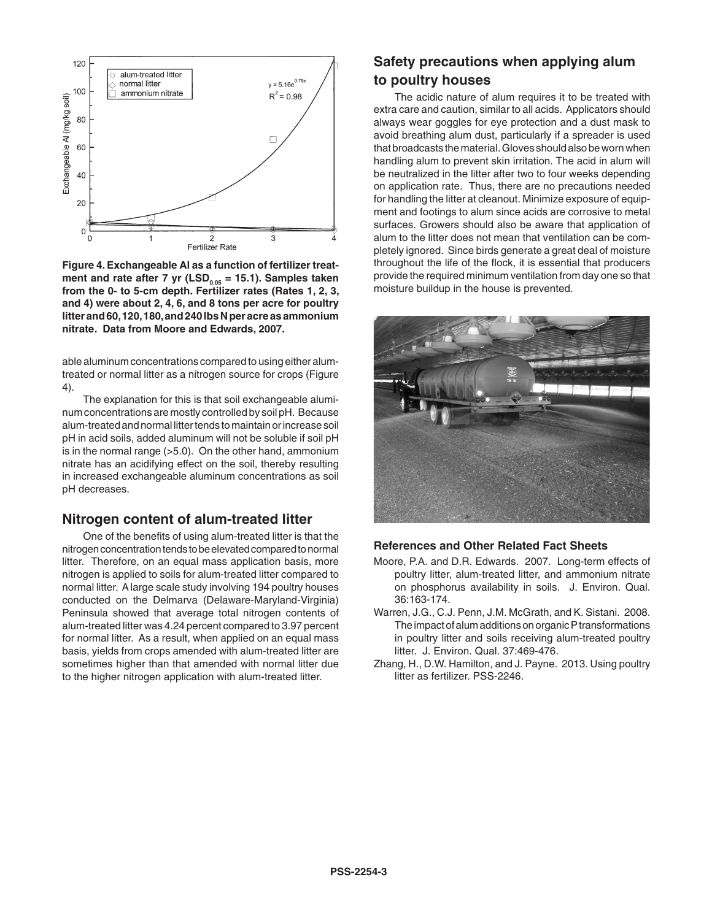

**Figure 4. Exchangeable Al as a function of fertilizer treat**ment and rate after 7 yr (LSD<sub>0.05</sub> = 15.1). Samples taken **from the 0- to 5-cm depth. Fertilizer rates (Rates 1, 2, 3, and 4) were about 2, 4, 6, and 8 tons per acre for poultry litter and 60, 120, 180, and 240 lbs N per acre as ammonium nitrate. Data from Moore and Edwards, 2007.**

able aluminum concentrations compared to using either alumtreated or normal litter as a nitrogen source for crops (Figure 4).

The explanation for this is that soil exchangeable aluminum concentrations are mostly controlled by soil pH. Because alum-treated and normal litter tends to maintain or increase soil pH in acid soils, added aluminum will not be soluble if soil pH is in the normal range (>5.0). On the other hand, ammonium nitrate has an acidifying effect on the soil, thereby resulting in increased exchangeable aluminum concentrations as soil pH decreases.

#### **Nitrogen content of alum-treated litter**

One of the benefits of using alum-treated litter is that the nitrogen concentration tends to be elevated compared to normal litter. Therefore, on an equal mass application basis, more nitrogen is applied to soils for alum-treated litter compared to normal litter. A large scale study involving 194 poultry houses conducted on the Delmarva (Delaware-Maryland-Virginia) Peninsula showed that average total nitrogen contents of alum-treated litter was 4.24 percent compared to 3.97 percent for normal litter. As a result, when applied on an equal mass basis, yields from crops amended with alum-treated litter are sometimes higher than that amended with normal litter due to the higher nitrogen application with alum-treated litter.

#### **Safety precautions when applying alum to poultry houses**

The acidic nature of alum requires it to be treated with extra care and caution, similar to all acids. Applicators should always wear goggles for eye protection and a dust mask to avoid breathing alum dust, particularly if a spreader is used that broadcasts the material. Gloves should also be worn when handling alum to prevent skin irritation. The acid in alum will be neutralized in the litter after two to four weeks depending on application rate. Thus, there are no precautions needed for handling the litter at cleanout. Minimize exposure of equipment and footings to alum since acids are corrosive to metal surfaces. Growers should also be aware that application of alum to the litter does not mean that ventilation can be completely ignored. Since birds generate a great deal of moisture throughout the life of the flock, it is essential that producers provide the required minimum ventilation from day one so that moisture buildup in the house is prevented.



#### **References and Other Related Fact Sheets**

- Moore, P.A. and D.R. Edwards. 2007. Long-term effects of poultry litter, alum-treated litter, and ammonium nitrate on phosphorus availability in soils. J. Environ. Qual. 36:163-174.
- Warren, J.G., C.J. Penn, J.M. McGrath, and K. Sistani. 2008. The impact of alum additions on organic P transformations in poultry litter and soils receiving alum-treated poultry litter. J. Environ. Qual. 37:469-476.
- Zhang, H., D.W. Hamilton, and J. Payne. 2013. Using poultry litter as fertilizer. PSS-2246.